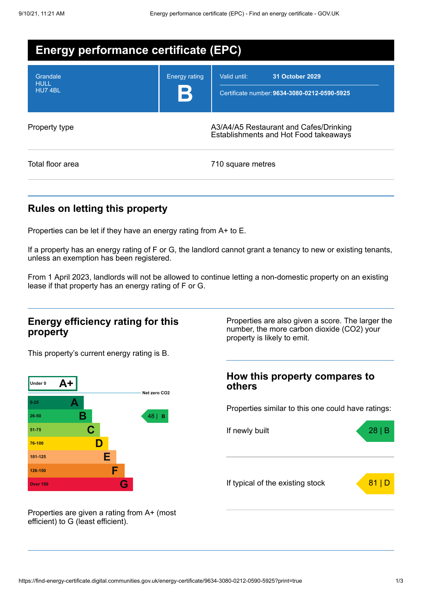| <b>Energy performance certificate (EPC)</b> |                      |                                                                                        |  |  |
|---------------------------------------------|----------------------|----------------------------------------------------------------------------------------|--|--|
| Grandale<br><b>HULL</b><br>HU74BL           | <b>Energy rating</b> | Valid until:<br><b>31 October 2029</b><br>Certificate number: 9634-3080-0212-0590-5925 |  |  |
| Property type                               |                      | A3/A4/A5 Restaurant and Cafes/Drinking<br>Establishments and Hot Food takeaways        |  |  |
| Total floor area                            |                      | 710 square metres                                                                      |  |  |

## **Rules on letting this property**

Properties can be let if they have an energy rating from A+ to E.

If a property has an energy rating of F or G, the landlord cannot grant a tenancy to new or existing tenants, unless an exemption has been registered.

From 1 April 2023, landlords will not be allowed to continue letting a non-domestic property on an existing lease if that property has an energy rating of F or G.

### **Energy efficiency rating for this property**

This property's current energy rating is B.



Properties are also given a score. The larger the number, the more carbon dioxide (CO2) your property is likely to emit.

### **How this property compares to others**

Properties similar to this one could have ratings:



Properties are given a rating from A+ (most efficient) to G (least efficient).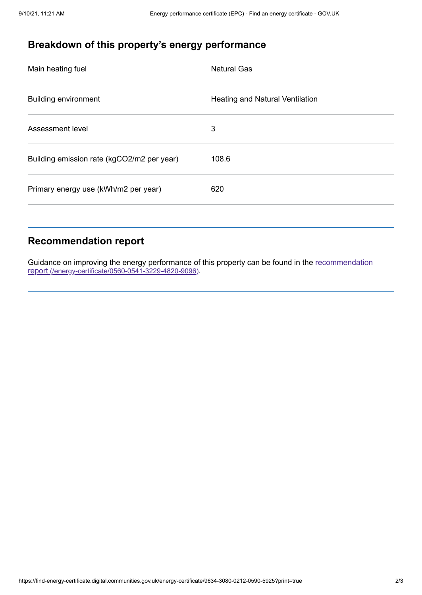# **Breakdown of this property's energy performance**

| Main heating fuel                          | <b>Natural Gas</b>              |
|--------------------------------------------|---------------------------------|
| <b>Building environment</b>                | Heating and Natural Ventilation |
| Assessment level                           | 3                               |
| Building emission rate (kgCO2/m2 per year) | 108.6                           |
| Primary energy use (kWh/m2 per year)       | 620                             |
|                                            |                                 |

## **Recommendation report**

Guidance on improving the energy performance of this property can be found in the recommendation report [\(/energy-certificate/0560-0541-3229-4820-9096\)](https://find-energy-certificate.digital.communities.gov.uk/energy-certificate/0560-0541-3229-4820-9096).